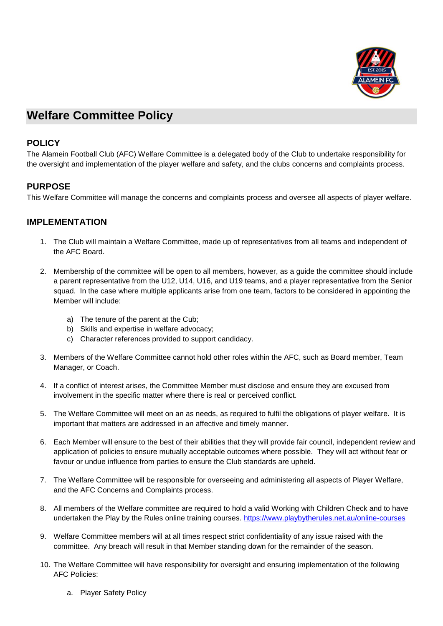

## **Welfare Committee Policy**

## **POLICY**

The Alamein Football Club (AFC) Welfare Committee is a delegated body of the Club to undertake responsibility for the oversight and implementation of the player welfare and safety, and the clubs concerns and complaints process.

## **PURPOSE**

This Welfare Committee will manage the concerns and complaints process and oversee all aspects of player welfare.

## **IMPLEMENTATION**

- 1. The Club will maintain a Welfare Committee, made up of representatives from all teams and independent of the AFC Board.
- 2. Membership of the committee will be open to all members, however, as a guide the committee should include a parent representative from the U12, U14, U16, and U19 teams, and a player representative from the Senior squad. In the case where multiple applicants arise from one team, factors to be considered in appointing the Member will include:
	- a) The tenure of the parent at the Cub;
	- b) Skills and expertise in welfare advocacy;
	- c) Character references provided to support candidacy.
- 3. Members of the Welfare Committee cannot hold other roles within the AFC, such as Board member, Team Manager, or Coach.
- 4. If a conflict of interest arises, the Committee Member must disclose and ensure they are excused from involvement in the specific matter where there is real or perceived conflict.
- 5. The Welfare Committee will meet on an as needs, as required to fulfil the obligations of player welfare. It is important that matters are addressed in an affective and timely manner.
- 6. Each Member will ensure to the best of their abilities that they will provide fair council, independent review and application of policies to ensure mutually acceptable outcomes where possible. They will act without fear or favour or undue influence from parties to ensure the Club standards are upheld.
- 7. The Welfare Committee will be responsible for overseeing and administering all aspects of Player Welfare, and the AFC Concerns and Complaints process.
- 8. All members of the Welfare committee are required to hold a valid Working with Children Check and to have undertaken the Play by the Rules online training courses.<https://www.playbytherules.net.au/online-courses>
- 9. Welfare Committee members will at all times respect strict confidentiality of any issue raised with the committee. Any breach will result in that Member standing down for the remainder of the season.
- 10. The Welfare Committee will have responsibility for oversight and ensuring implementation of the following AFC Policies:
	- a. Player Safety Policy